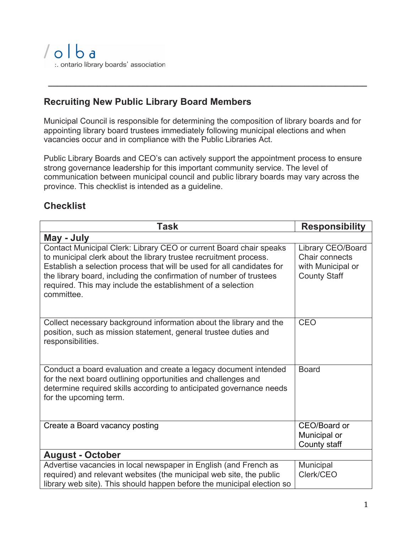## **Recruiting New Public Library Board Members**

Municipal Council is responsible for determining the composition of library boards and for appointing library board trustees immediately following municipal elections and when vacancies occur and in compliance with the Public Libraries Act.

 **\_\_\_\_\_\_\_\_\_\_\_\_\_\_\_\_\_\_\_\_\_\_\_\_\_\_\_\_\_\_\_\_\_\_\_\_\_\_\_\_\_\_\_\_\_\_\_\_\_\_\_\_\_\_\_\_\_\_\_\_\_\_\_\_\_\_\_\_\_\_\_**

Public Library Boards and CEO's can actively support the appointment process to ensure strong governance leadership for this important community service. The level of communication between municipal council and public library boards may vary across the province. This checklist is intended as a guideline.

## **Checklist**

| <b>Task</b>                                                                                                                                                                                                                                                                                                                                                           | <b>Responsibility</b>                                                           |
|-----------------------------------------------------------------------------------------------------------------------------------------------------------------------------------------------------------------------------------------------------------------------------------------------------------------------------------------------------------------------|---------------------------------------------------------------------------------|
| May - July                                                                                                                                                                                                                                                                                                                                                            |                                                                                 |
| Contact Municipal Clerk: Library CEO or current Board chair speaks<br>to municipal clerk about the library trustee recruitment process.<br>Establish a selection process that will be used for all candidates for<br>the library board, including the confirmation of number of trustees<br>required. This may include the establishment of a selection<br>committee. | Library CEO/Board<br>Chair connects<br>with Municipal or<br><b>County Staff</b> |
| Collect necessary background information about the library and the<br>position, such as mission statement, general trustee duties and<br>responsibilities.                                                                                                                                                                                                            | CEO                                                                             |
| Conduct a board evaluation and create a legacy document intended<br>for the next board outlining opportunities and challenges and<br>determine required skills according to anticipated governance needs<br>for the upcoming term.                                                                                                                                    | <b>Board</b>                                                                    |
| Create a Board vacancy posting                                                                                                                                                                                                                                                                                                                                        | CEO/Board or<br>Municipal or<br>County staff                                    |
| <b>August - October</b>                                                                                                                                                                                                                                                                                                                                               |                                                                                 |
| Advertise vacancies in local newspaper in English (and French as<br>required) and relevant websites (the municipal web site, the public<br>library web site). This should happen before the municipal election so                                                                                                                                                     | Municipal<br>Clerk/CEO                                                          |